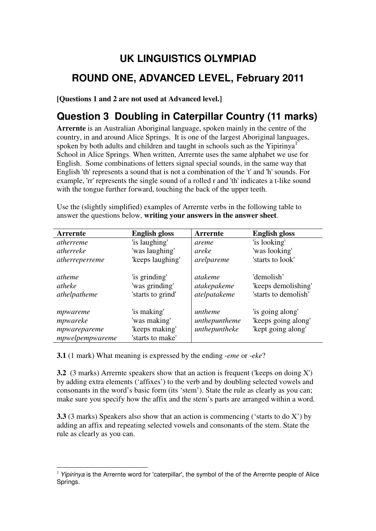# **UK LINGUISTICS OLYMPIAD ROUND ONE, ADVANCED LEVEL, February 2011**

**[Questions 1 and 2 are not used at Advanced level.]**

# **Question 3 Doubling in Caterpillar Country (11 marks)**

**Arrernte** is an Australian Aboriginal language, spoken mainly in the centre of the country, in and around Alice Springs. It is one of the largest Aboriginal languages, spoken by both adults and children and taught in schools such as the Yipirinya<sup>1</sup> School in Alice Springs. When written, Arrernte uses the same alphabet we use for English. Some combinations of letters signal special sounds, in the same way that English 'th' represents a sound that is not a combination of the 't' and 'h' sounds. For example, 'rr' represents the single sound of a rolled r and 'th' indicates a t-like sound with the tongue further forward, touching the back of the upper teeth.

| <b>Arrernte</b>                                         | <b>English gloss</b>                                              | Arrernte                                      | <b>English gloss</b>                                          |
|---------------------------------------------------------|-------------------------------------------------------------------|-----------------------------------------------|---------------------------------------------------------------|
| atherreme                                               | 'is laughing'                                                     | areme                                         | 'is looking'                                                  |
| atherreke                                               | 'was laughing'                                                    | areke                                         | 'was looking'                                                 |
| atherreperreme                                          | 'keeps laughing'                                                  | arelpareme                                    | 'starts to look'                                              |
| <i>atheme</i><br>atheke<br>athelpatheme                 | 'is grinding'<br>'was grinding'<br>'starts to grind'              | <i>atakeme</i><br>atakepakeme<br>atelpatakeme | 'demolish'<br>'keeps demolishing'<br>'starts to demolish'     |
| mpwareme<br>mpwareke<br>mpwarepareme<br>mpwelpempwareme | 'is making'<br>'was making'<br>'keeps making'<br>'starts to make' | untheme<br>unthepuntheme<br>unthepuntheke     | 'is going along'<br>'keeps going along'<br>'kept going along' |

Use the (slightly simplified) examples of Arrernte verbs in the following table to answer the questions below, **writing your answers in the answer sheet**.

**3.1** (1 mark) What meaning is expressed by the ending -*eme* or -*eke*?

**3.2** (3 marks) Arrernte speakers show that an action is frequent ('keeps on doing X') by adding extra elements ('affixes') to the verb and by doubling selected vowels and consonants in the word's basic form (its 'stem'). State the rule as clearly as you can; make sure you specify how the affix and the stem's parts are arranged within a word.

**3.3** (3 marks) Speakers also show that an action is commencing ('starts to do X') by adding an affix and repeating selected vowels and consonants of the stem. State the rule as clearly as you can.

 $\overline{a}$  $1$  Yipirinya is the Arrernte word for 'caterpillar', the symbol of the of the Arrernte people of Alice Springs.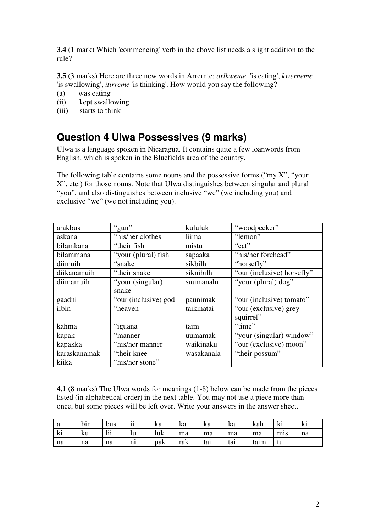**3.4** (1 mark) Which 'commencing' verb in the above list needs a slight addition to the rule?

**3.5** (3 marks) Here are three new words in Arrernte: *arlkweme* 'is eating', *kwerneme* 'is swallowing', *itirreme* 'is thinking'. How would you say the following?

- (a) was eating
- (ii) kept swallowing
- (iii) starts to think

#### **Question 4 Ulwa Possessives (9 marks)**

Ulwa is a language spoken in Nicaragua. It contains quite a few loanwords from English, which is spoken in the Bluefields area of the country.

The following table contains some nouns and the possessive forms ("my  $X$ ", "your X", etc.) for those nouns. Note that Ulwa distinguishes between singular and plural "you", and also distinguishes between inclusive "we" (we including you) and exclusive "we" (we not including you).

| arakbus      | "gun"                | kululuk    | "woodpecker"               |
|--------------|----------------------|------------|----------------------------|
| askana       | "his/her clothes     | liima      | "lemon"                    |
| bilamkana    | "their fish"         | mistu      | "cat"                      |
| bilammana    | "your (plural) fish  | sapaaka    | "his/her forehead"         |
| diimuih      | "snake"              | sikbilh    | "horsefly"                 |
| diikanamuih  | "their snake"        | siknibilh  | "our (inclusive) horsefly" |
| diimamuih    | "your (singular)     | suumanalu  | "your (plural) dog"        |
|              | snake                |            |                            |
| gaadni       | "our (inclusive) god | paunimak   | "our (inclusive) tomato"   |
| iibin        | "heaven"             | taikinatai | "our (exclusive) grey      |
|              |                      |            | squirrel"                  |
| kahma        | "iguana              | taim       | "time"                     |
| kapak        | "manner"             | uumamak    | "your (singular) window"   |
| kapakka      | "his/her manner"     | waikinaku  | "our (exclusive) moon"     |
| karaskanamak | "their knee"         | wasakanala | "their possum"             |
| kiika        | "his/her stone"      |            |                            |

**4.1** (8 marks) The Ulwa words for meanings (1-8) below can be made from the pieces listed (in alphabetical order) in the next table. You may not use a piece more than once, but some pieces will be left over. Write your answers in the answer sheet.

| a  | b <sub>1</sub> n | bus | $\cdot \cdot$<br>11<br>п | ka  | ka  | ka  | ka  | kah  | N.               | ki |
|----|------------------|-----|--------------------------|-----|-----|-----|-----|------|------------------|----|
| ki | ku               | lii | lu                       | luk | ma  | ma  | ma  | ma   | m <sub>1</sub> s | na |
| na | na               | na  | n <sub>1</sub>           | pak | rak | tai | tai | taim | tu               |    |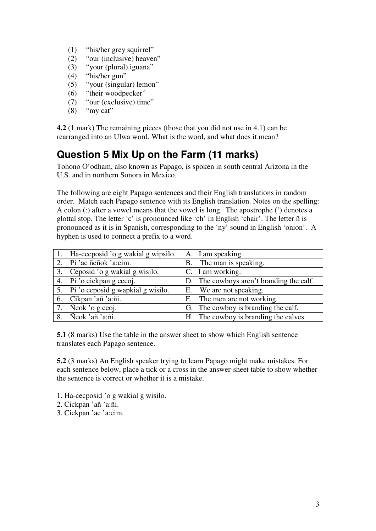- (1) "his/her grey squirrel"
- (2) "our (inclusive) heaven"
- (3) "your (plural) iguana"
- (4) "his/her gun"
- (5) "your (singular) lemon"
- (6) "their woodpecker"
- (7) "our (exclusive) time"
- $(8)$  "my cat"

**4.2** (1 mark) The remaining pieces (those that you did not use in 4.1) can be rearranged into an Ulwa word. What is the word, and what does it mean?

# **Question 5 Mix Up on the Farm (11 marks)**

Tohono O'odham, also known as Papago, is spoken in south central Arizona in the U.S. and in northern Sonora in Mexico.

The following are eight Papago sentences and their English translations in random order. Match each Papago sentence with its English translation. Notes on the spelling: A colon (:) after a vowel means that the vowel is long. The apostrophe (') denotes a glottal stop. The letter 'c' is pronounced like 'ch' in English 'chair'. The letter ñ is pronounced as it is in Spanish, corresponding to the 'ny' sound in English 'onion'. A hyphen is used to connect a prefix to a word.

|    | 1. Ha-cecposid 'o g wakial g wipsilo. | A. I am speaking                         |
|----|---------------------------------------|------------------------------------------|
|    | Pi 'ac ñeñok 'a:cim.                  | B. The man is speaking.                  |
|    | 3. Ceposid 'o g wakial g wisilo.      | C. I am working.                         |
|    | 4. Pi 'o cickpan g cecoj.             | D. The cowboys aren't branding the calf. |
|    | 5. Pi'o ceposid g wapkial g wisilo.   | E. We are not speaking.                  |
|    | 6. Cikpan 'añ 'a:ñi.                  | F. The men are not working.              |
| 7. | Neok 'o g ceoj.                       | G. The cowboy is branding the calf.      |
|    | 8. Neok 'añ 'a:ñi.                    | H. The cowboy is branding the calves.    |

**5.1** (8 marks) Use the table in the answer sheet to show which English sentence translates each Papago sentence.

**5.2** (3 marks) An English speaker trying to learn Papago might make mistakes. For each sentence below, place a tick or a cross in the answer-sheet table to show whether the sentence is correct or whether it is a mistake.

- 1. Ha-cecposid 'o g wakial g wisilo.
- 2. Cickpan 'añ 'a:ñi.
- 3. Cickpan 'ac 'a:cim.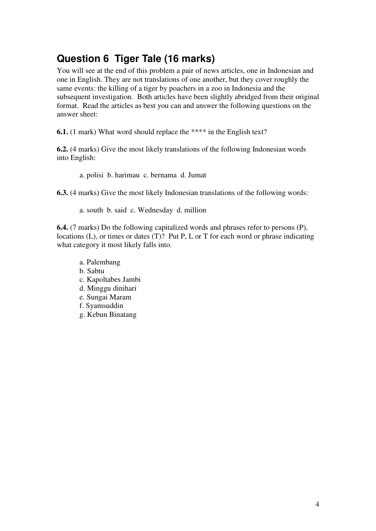### **Question 6 Tiger Tale (16 marks)**

You will see at the end of this problem a pair of news articles, one in Indonesian and one in English. They are not translations of one another, but they cover roughly the same events: the killing of a tiger by poachers in a zoo in Indonesia and the subsequent investigation. Both articles have been slightly abridged from their original format. Read the articles as best you can and answer the following questions on the answer sheet:

**6.1.** (1 mark) What word should replace the \*\*\*\* in the English text?

**6.2.** (4 marks) Give the most likely translations of the following Indonesian words into English:

a. polisi b. harimau c. bernama d. Jumat

**6.3.** (4 marks) Give the most likely Indonesian translations of the following words:

a. south b. said c. Wednesday d. million

**6.4.** (7 marks) Do the following capitalized words and phrases refer to persons (P), locations (L), or times or dates (T)? Put P, L or T for each word or phrase indicating what category it most likely falls into.

- a. Palembang b. Sabtu c. Kapoltabes Jambi d. Minggu dinihari e. Sungai Maram f. Syamsuddin
- g. Kebun Binatang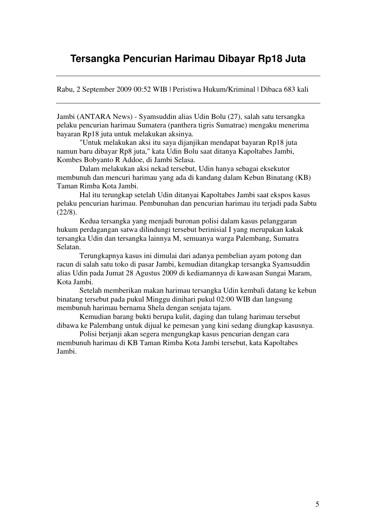#### **Tersangka Pencurian Harimau Dibayar Rp18 Juta**

Rabu, 2 September 2009 00:52 WIB | Peristiwa Hukum/Kriminal | Dibaca 683 kali

Jambi (ANTARA News) - Syamsuddin alias Udin Bolu (27), salah satu tersangka pelaku pencurian harimau Sumatera (panthera tigris Sumatrae) mengaku menerima bayaran Rp18 juta untuk melakukan aksinya.

"Untuk melakukan aksi itu saya dijanjikan mendapat bayaran Rp18 juta namun baru dibayar Rp8 juta," kata Udin Bolu saat ditanya Kapoltabes Jambi, Kombes Bobyanto R Addoe, di Jambi Selasa.

Dalam melakukan aksi nekad tersebut, Udin hanya sebagai eksekutor membunuh dan mencuri harimau yang ada di kandang dalam Kebun Binatang (KB) Taman Rimba Kota Jambi.

Hal itu terungkap setelah Udin ditanyai Kapoltabes Jambi saat ekspos kasus pelaku pencurian harimau. Pembunuhan dan pencurian harimau itu terjadi pada Sabtu (22/8).

Kedua tersangka yang menjadi buronan polisi dalam kasus pelanggaran hukum perdagangan satwa dilindungi tersebut berinisial I yang merupakan kakak tersangka Udin dan tersangka lainnya M, semuanya warga Palembang, Sumatra Selatan.

Terungkapnya kasus ini dimulai dari adanya pembelian ayam potong dan racun di salah satu toko di pasar Jambi, kemudian ditangkap tersangka Syamsuddin alias Udin pada Jumat 28 Agustus 2009 di kediamannya di kawasan Sungai Maram, Kota Jambi.

Setelah memberikan makan harimau tersangka Udin kembali datang ke kebun binatang tersebut pada pukul Minggu dinihari pukul 02:00 WIB dan langsung membunuh harimau bernama Shela dengan senjata tajam.

Kemudian barang bukti berupa kulit, daging dan tulang harimau tersebut dibawa ke Palembang untuk dijual ke pemesan yang kini sedang diungkap kasusnya.

Polisi berjanji akan segera mengungkap kasus pencurian dengan cara membunuh harimau di KB Taman Rimba Kota Jambi tersebut, kata Kapoltabes Jambi.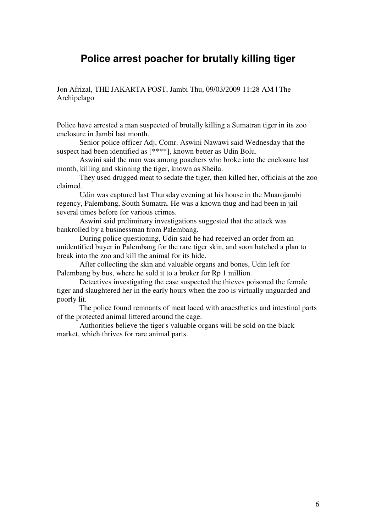#### **Police arrest poacher for brutally killing tiger**

Jon Afrizal, THE JAKARTA POST, Jambi Thu, 09/03/2009 11:28 AM | The Archipelago

Police have arrested a man suspected of brutally killing a Sumatran tiger in its zoo enclosure in Jambi last month.

Senior police officer Adj, Comr. Aswini Nawawi said Wednesday that the suspect had been identified as [\*\*\*\*], known better as Udin Bolu.

Aswini said the man was among poachers who broke into the enclosure last month, killing and skinning the tiger, known as Sheila.

They used drugged meat to sedate the tiger, then killed her, officials at the zoo claimed.

Udin was captured last Thursday evening at his house in the Muarojambi regency, Palembang, South Sumatra. He was a known thug and had been in jail several times before for various crimes.

Aswini said preliminary investigations suggested that the attack was bankrolled by a businessman from Palembang.

During police questioning, Udin said he had received an order from an unidentified buyer in Palembang for the rare tiger skin, and soon hatched a plan to break into the zoo and kill the animal for its hide.

After collecting the skin and valuable organs and bones, Udin left for Palembang by bus, where he sold it to a broker for Rp 1 million.

Detectives investigating the case suspected the thieves poisoned the female tiger and slaughtered her in the early hours when the zoo is virtually unguarded and poorly lit.

The police found remnants of meat laced with anaesthetics and intestinal parts of the protected animal littered around the cage.

Authorities believe the tiger's valuable organs will be sold on the black market, which thrives for rare animal parts.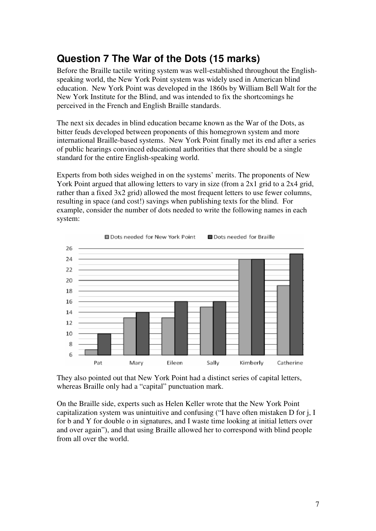### **Question 7 The War of the Dots (15 marks)**

Before the Braille tactile writing system was well-established throughout the Englishspeaking world, the New York Point system was widely used in American blind education. New York Point was developed in the 1860s by William Bell Walt for the New York Institute for the Blind, and was intended to fix the shortcomings he perceived in the French and English Braille standards.

The next six decades in blind education became known as the War of the Dots, as bitter feuds developed between proponents of this homegrown system and more international Braille-based systems. New York Point finally met its end after a series of public hearings convinced educational authorities that there should be a single standard for the entire English-speaking world.

Experts from both sides weighed in on the systems' merits. The proponents of New York Point argued that allowing letters to vary in size (from a 2x1 grid to a 2x4 grid, rather than a fixed 3x2 grid) allowed the most frequent letters to use fewer columns, resulting in space (and cost!) savings when publishing texts for the blind. For example, consider the number of dots needed to write the following names in each system:



They also pointed out that New York Point had a distinct series of capital letters, whereas Braille only had a "capital" punctuation mark.

On the Braille side, experts such as Helen Keller wrote that the New York Point capitalization system was unintuitive and confusing ("I have often mistaken D for j, I for b and Y for double o in signatures, and I waste time looking at initial letters over and over again"), and that using Braille allowed her to correspond with blind people from all over the world.